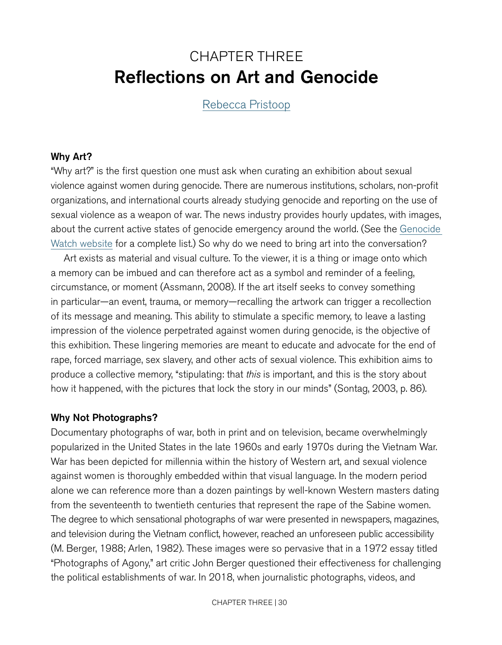# CHAPTER THREE Reflections on Art and Genocide

<span id="page-0-0"></span>[Rebecca Pristoop](https://www.pristoopcuratorial.com/about.html)

### Why Art?

"Why art?" is the first question one must ask when curating an exhibition about sexual violence against women during genocide. There are numerous institutions, scholars, non-profit organizations, and international courts already studying genocide and reporting on the use of sexual violence as a weapon of war. The news industry provides hourly updates, with images, about the current active states of genocide emergency around the world. (See the [Genocide](http://www.genocidewatch.org)  [Watch website](http://www.genocidewatch.org) for a complete list.) So why do we need to bring art into the conversation?

Art exists as material and visual culture. To the viewer, it is a thing or image onto which a memory can be imbued and can therefore act as a symbol and reminder of a feeling, circumstance, or moment (Assmann, 2008). If the art itself seeks to convey something in particular—an event, trauma, or memory—recalling the artwork can trigger a recollection of its message and meaning. This ability to stimulate a specific memory, to leave a lasting impression of the violence perpetrated against women during genocide, is the objective of this exhibition. These lingering memories are meant to educate and advocate for the end of rape, forced marriage, sex slavery, and other acts of sexual violence. This exhibition aims to produce a collective memory, "stipulating: that *this* is important, and this is the story about how it happened, with the pictures that lock the story in our minds" (Sontag, 2003, p. 86).

### Why Not Photographs?

Documentary photographs of war, both in print and on television, became overwhelmingly popularized in the United States in the late 1960s and early 1970s during the Vietnam War. War has been depicted for millennia within the history of Western art, and sexual violence against women is thoroughly embedded within that visual language. In the modern period alone we can reference more than a dozen paintings by well-known Western masters dating from the seventeenth to twentieth centuries that represent the rape of the Sabine women. The degree to which sensational photographs of war were presented in newspapers, magazines, and television during the Vietnam conflict, however, reached an unforeseen public accessibility (M. Berger, 1988; Arlen, 1982). These images were so pervasive that in a 1972 essay titled "Photographs of Agony," art critic John Berger questioned their effectiveness for challenging the political establishments of war. In 2018, when journalistic photographs, videos, and

CHAPTER THREE | 30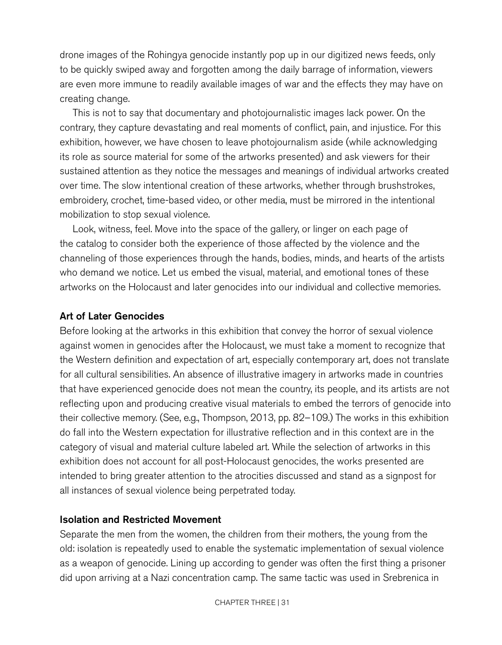drone images of the Rohingya genocide instantly pop up in our digitized news feeds, only to be quickly swiped away and forgotten among the daily barrage of information, viewers are even more immune to readily available images of war and the effects they may have on creating change.

This is not to say that documentary and photojournalistic images lack power. On the contrary, they capture devastating and real moments of conflict, pain, and injustice. For this exhibition, however, we have chosen to leave photojournalism aside (while acknowledging its role as source material for some of the artworks presented) and ask viewers for their sustained attention as they notice the messages and meanings of individual artworks created over time. The slow intentional creation of these artworks, whether through brushstrokes, embroidery, crochet, time-based video, or other media, must be mirrored in the intentional mobilization to stop sexual violence.

Look, witness, feel. Move into the space of the gallery, or linger on each page of the catalog to consider both the experience of those affected by the violence and the channeling of those experiences through the hands, bodies, minds, and hearts of the artists who demand we notice. Let us embed the visual, material, and emotional tones of these artworks on the Holocaust and later genocides into our individual and collective memories.

### Art of Later Genocides

Before looking at the artworks in this exhibition that convey the horror of sexual violence against women in genocides after the Holocaust, we must take a moment to recognize that the Western definition and expectation of art, especially contemporary art, does not translate for all cultural sensibilities. An absence of illustrative imagery in artworks made in countries that have experienced genocide does not mean the country, its people, and its artists are not reflecting upon and producing creative visual materials to embed the terrors of genocide into their collective memory. (See, e.g., Thompson, 2013, pp. 82–109.) The works in this exhibition do fall into the Western expectation for illustrative reflection and in this context are in the category of visual and material culture labeled art. While the selection of artworks in this exhibition does not account for all post-Holocaust genocides, the works presented are intended to bring greater attention to the atrocities discussed and stand as a signpost for all instances of sexual violence being perpetrated today.

### Isolation and Restricted Movement

Separate the men from the women, the children from their mothers, the young from the old: isolation is repeatedly used to enable the systematic implementation of sexual violence as a weapon of genocide. Lining up according to gender was often the first thing a prisoner did upon arriving at a Nazi concentration camp. The same tactic was used in Srebrenica in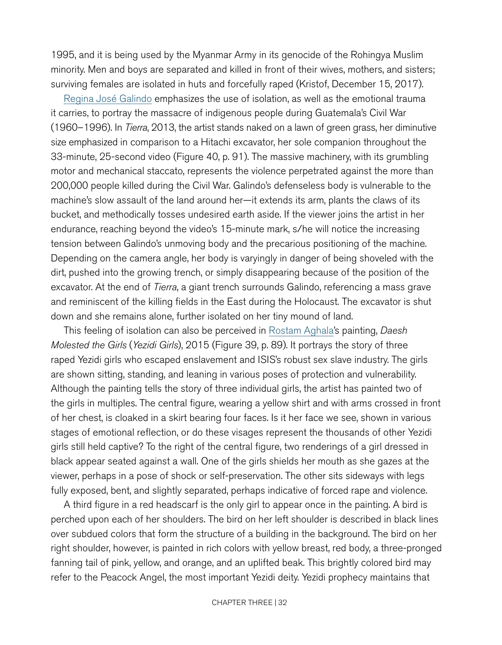1995, and it is being used by the Myanmar Army in its genocide of the Rohingya Muslim minority. Men and boys are separated and killed in front of their wives, mothers, and sisters; surviving females are isolated in huts and forcefully raped (Kristof, December 15, 2017).

[Regina José Galindo](http://www.reginajosegalindo.com) emphasizes the use of isolation, as well as the emotional trauma it carries, to portray the massacre of indigenous people during Guatemala's Civil War (1960–1996). In *Tierra*, 2013, the artist stands naked on a lawn of green grass, her diminutive size emphasized in comparison to a Hitachi excavator, her sole companion throughout the 33-minute, 25-second video (Figure 40, p. [91](#page-11-0)). The massive machinery, with its grumbling motor and mechanical staccato, represents the violence perpetrated against the more than 200,000 people killed during the Civil War. Galindo's defenseless body is vulnerable to the machine's slow assault of the land around her—it extends its arm, plants the claws of its bucket, and methodically tosses undesired earth aside. If the viewer joins the artist in her endurance, reaching beyond the video's 15-minute mark, s/he will notice the increasing tension between Galindo's unmoving body and the precarious positioning of the machine. Depending on the camera angle, her body is varyingly in danger of being shoveled with the dirt, pushed into the growing trench, or simply disappearing because of the position of the excavator. At the end of *Tierra*, a giant trench surrounds Galindo, referencing a mass grave and reminiscent of the killing fields in the East during the Holocaust. The excavator is shut down and she remains alone, further isolated on her tiny mound of land.

This feeling of isolation can also be perceived in [Rostam Aghala](http://www.rostamaghala.com/new/index.php)'s painting, *Daesh Molested the Girls* (*Yezidi Girls*), 2015 (Figure 39, p. [89](#page-9-0)). It portrays the story of three raped Yezidi girls who escaped enslavement and ISIS's robust sex slave industry. The girls are shown sitting, standing, and leaning in various poses of protection and vulnerability. Although the painting tells the story of three individual girls, the artist has painted two of the girls in multiples. The central figure, wearing a yellow shirt and with arms crossed in front of her chest, is cloaked in a skirt bearing four faces. Is it her face we see, shown in various stages of emotional reflection, or do these visages represent the thousands of other Yezidi girls still held captive? To the right of the central figure, two renderings of a girl dressed in black appear seated against a wall. One of the girls shields her mouth as she gazes at the viewer, perhaps in a pose of shock or self-preservation. The other sits sideways with legs fully exposed, bent, and slightly separated, perhaps indicative of forced rape and violence.

A third figure in a red headscarf is the only girl to appear once in the painting. A bird is perched upon each of her shoulders. The bird on her left shoulder is described in black lines over subdued colors that form the structure of a building in the background. The bird on her right shoulder, however, is painted in rich colors with yellow breast, red body, a three-pronged fanning tail of pink, yellow, and orange, and an uplifted beak. This brightly colored bird may refer to the Peacock Angel, the most important Yezidi deity. Yezidi prophecy maintains that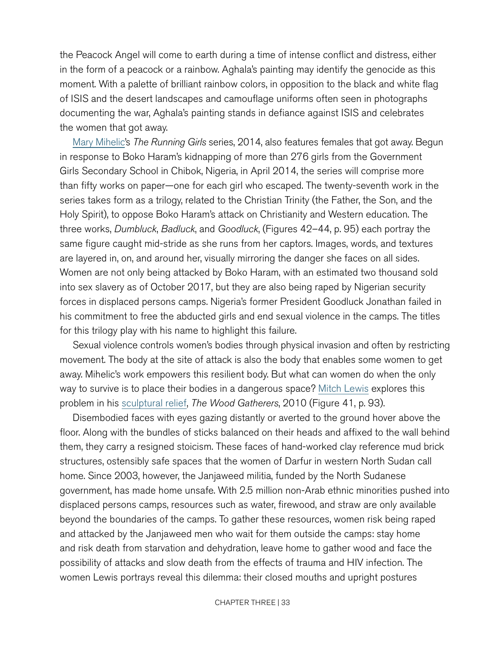the Peacock Angel will come to earth during a time of intense conflict and distress, either in the form of a peacock or a rainbow. Aghala's painting may identify the genocide as this moment. With a palette of brilliant rainbow colors, in opposition to the black and white flag of ISIS and the desert landscapes and camouflage uniforms often seen in photographs documenting the war, Aghala's painting stands in defiance against ISIS and celebrates the women that got away.

[Mary Mihelic](http://www.marymihelicartist.com/Mary_Mihelic_Home.html)'s *The Running Girls* series, 2014, also features females that got away. Begun in response to Boko Haram's kidnapping of more than 276 girls from the Government Girls Secondary School in Chibok, Nigeria, in April 2014, the series will comprise more than fifty works on paper—one for each girl who escaped. The twenty-seventh work in the series takes form as a trilogy, related to the Christian Trinity (the Father, the Son, and the Holy Spirit), to oppose Boko Haram's attack on Christianity and Western education. The three works, *Dumbluck*, *Badluck*, and *Goodluck*, (Figures 42–44, p. [95](#page-15-0)) each portray the same figure caught mid-stride as she runs from her captors. Images, words, and textures are layered in, on, and around her, visually mirroring the danger she faces on all sides. Women are not only being attacked by Boko Haram, with an estimated two thousand sold into sex slavery as of October 2017, but they are also being raped by Nigerian security forces in displaced persons camps. Nigeria's former President Goodluck Jonathan failed in his commitment to free the abducted girls and end sexual violence in the camps. The titles for this trilogy play with his name to highlight this failure.

Sexual violence controls women's bodies through physical invasion and often by restricting movement. The body at the site of attack is also the body that enables some women to get away. Mihelic's work empowers this resilient body. But what can women do when the only way to survive is to place their bodies in a dangerous space? [Mitch Lewis](http://www.artstoendgenocide.org/media.html) explores this problem in his [sculptural relief](http://www.mitchlewissculpture.com/exhibition.html), *The Wood Gatherers*, 2010 (Figure 41, p. [93\)](#page-13-0).

Disembodied faces with eyes gazing distantly or averted to the ground hover above the floor. Along with the bundles of sticks balanced on their heads and affixed to the wall behind them, they carry a resigned stoicism. These faces of hand-worked clay reference mud brick structures, ostensibly safe spaces that the women of Darfur in western North Sudan call home. Since 2003, however, the Janjaweed militia, funded by the North Sudanese government, has made home unsafe. With 2.5 million non-Arab ethnic minorities pushed into displaced persons camps, resources such as water, firewood, and straw are only available beyond the boundaries of the camps. To gather these resources, women risk being raped and attacked by the Janjaweed men who wait for them outside the camps: stay home and risk death from starvation and dehydration, leave home to gather wood and face the possibility of attacks and slow death from the effects of trauma and HIV infection. The women Lewis portrays reveal this dilemma: their closed mouths and upright postures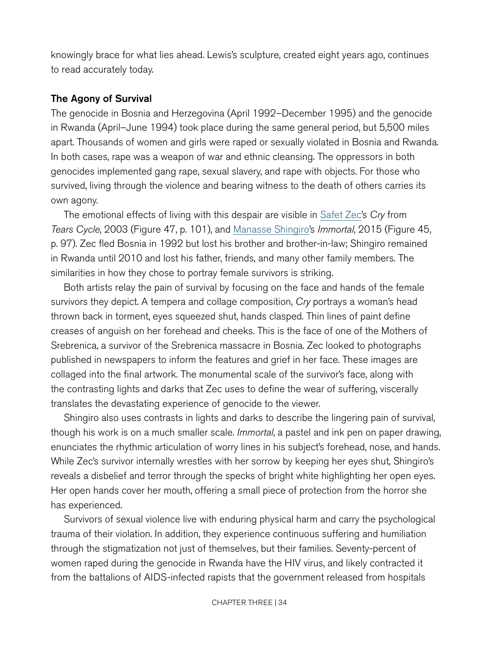knowingly brace for what lies ahead. Lewis's sculpture, created eight years ago, continues to read accurately today.

#### The Agony of Survival

The genocide in Bosnia and Herzegovina (April 1992–December 1995) and the genocide in Rwanda (April–June 1994) took place during the same general period, but 5,500 miles apart. Thousands of women and girls were raped or sexually violated in Bosnia and Rwanda. In both cases, rape was a weapon of war and ethnic cleansing. The oppressors in both genocides implemented gang rape, sexual slavery, and rape with objects. For those who survived, living through the violence and bearing witness to the death of others carries its own agony.

The emotional effects of living with this despair are visible in [Safet Zec'](http://www.safetzec.com)s *Cry* from *Tears Cycle*, 2003 (Figure 47, p. [101](#page-21-0)), and [Manasse Shingiro'](http://www.manasseart.com)s *Immortal*, 2015 (Figure 45, p. [97\)](#page-17-0). Zec fled Bosnia in 1992 but lost his brother and brother-in-law; Shingiro remained in Rwanda until 2010 and lost his father, friends, and many other family members. The similarities in how they chose to portray female survivors is striking.

Both artists relay the pain of survival by focusing on the face and hands of the female survivors they depict. A tempera and collage composition, *Cry* portrays a woman's head thrown back in torment, eyes squeezed shut, hands clasped. Thin lines of paint define creases of anguish on her forehead and cheeks. This is the face of one of the Mothers of Srebrenica, a survivor of the Srebrenica massacre in Bosnia. Zec looked to photographs published in newspapers to inform the features and grief in her face. These images are collaged into the final artwork. The monumental scale of the survivor's face, along with the contrasting lights and darks that Zec uses to define the wear of suffering, viscerally translates the devastating experience of genocide to the viewer.

Shingiro also uses contrasts in lights and darks to describe the lingering pain of survival, though his work is on a much smaller scale. *Immortal*, a pastel and ink pen on paper drawing, enunciates the rhythmic articulation of worry lines in his subject's forehead, nose, and hands. While Zec's survivor internally wrestles with her sorrow by keeping her eyes shut, Shingiro's reveals a disbelief and terror through the specks of bright white highlighting her open eyes. Her open hands cover her mouth, offering a small piece of protection from the horror she has experienced.

Survivors of sexual violence live with enduring physical harm and carry the psychological trauma of their violation. In addition, they experience continuous suffering and humiliation through the stigmatization not just of themselves, but their families. Seventy-percent of women raped during the genocide in Rwanda have the HIV virus, and likely contracted it from the battalions of AIDS-infected rapists that the government released from hospitals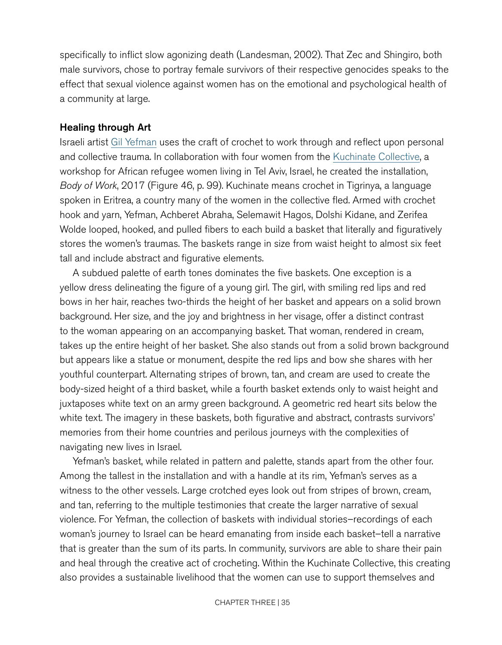specifically to inflict slow agonizing death (Landesman, 2002). That Zec and Shingiro, both male survivors, chose to portray female survivors of their respective genocides speaks to the effect that sexual violence against women has on the emotional and psychological health of a community at large.

#### Healing through Art

Israeli artist [Gil Yefman](http://www.gilyefman.com) uses the craft of crochet to work through and reflect upon personal and collective trauma. In collaboration with four women from the [Kuchinate Collective](https://www.kuchinate.com/our-story), a workshop for African refugee women living in Tel Aviv, Israel, he created the installation, *Body of Work*, 2017 (Figure 46, p. [99](#page-19-0)). Kuchinate means crochet in Tigrinya, a language spoken in Eritrea, a country many of the women in the collective fled. Armed with crochet hook and yarn, Yefman, Achberet Abraha, Selemawit Hagos, Dolshi Kidane, and Zerifea Wolde looped, hooked, and pulled fibers to each build a basket that literally and figuratively stores the women's traumas. The baskets range in size from waist height to almost six feet tall and include abstract and figurative elements.

A subdued palette of earth tones dominates the five baskets. One exception is a yellow dress delineating the figure of a young girl. The girl, with smiling red lips and red bows in her hair, reaches two-thirds the height of her basket and appears on a solid brown background. Her size, and the joy and brightness in her visage, offer a distinct contrast to the woman appearing on an accompanying basket. That woman, rendered in cream, takes up the entire height of her basket. She also stands out from a solid brown background but appears like a statue or monument, despite the red lips and bow she shares with her youthful counterpart. Alternating stripes of brown, tan, and cream are used to create the body-sized height of a third basket, while a fourth basket extends only to waist height and juxtaposes white text on an army green background. A geometric red heart sits below the white text. The imagery in these baskets, both figurative and abstract, contrasts survivors' memories from their home countries and perilous journeys with the complexities of navigating new lives in Israel.

Yefman's basket, while related in pattern and palette, stands apart from the other four. Among the tallest in the installation and with a handle at its rim, Yefman's serves as a witness to the other vessels. Large crotched eyes look out from stripes of brown, cream, and tan, referring to the multiple testimonies that create the larger narrative of sexual violence. For Yefman, the collection of baskets with individual stories–recordings of each woman's journey to Israel can be heard emanating from inside each basket–tell a narrative that is greater than the sum of its parts. In community, survivors are able to share their pain and heal through the creative act of crocheting. Within the Kuchinate Collective, this creating also provides a sustainable livelihood that the women can use to support themselves and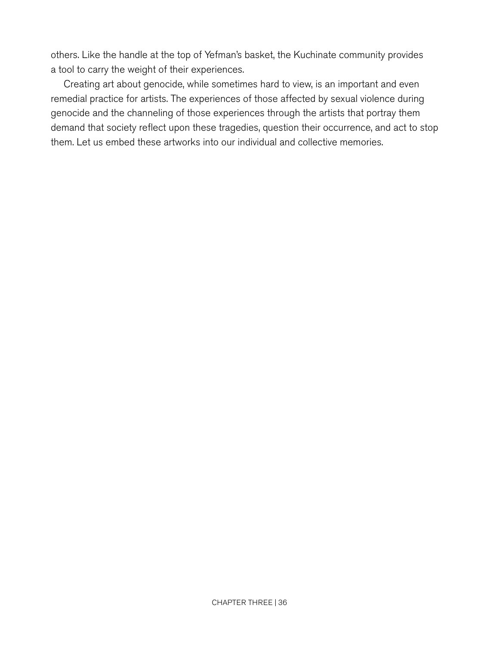others. Like the handle at the top of Yefman's basket, the Kuchinate community provides a tool to carry the weight of their experiences.

Creating art about genocide, while sometimes hard to view, is an important and even remedial practice for artists. The experiences of those affected by sexual violence during genocide and the channeling of those experiences through the artists that portray them demand that society reflect upon these tragedies, question their occurrence, and act to stop them. Let us embed these artworks into our individual and collective memories.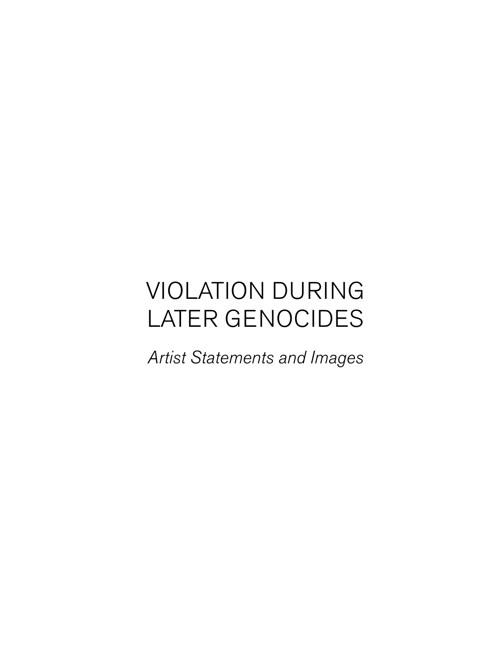# VIOLATION DURING LATER GENOCIDES

*Artist Statements and Images*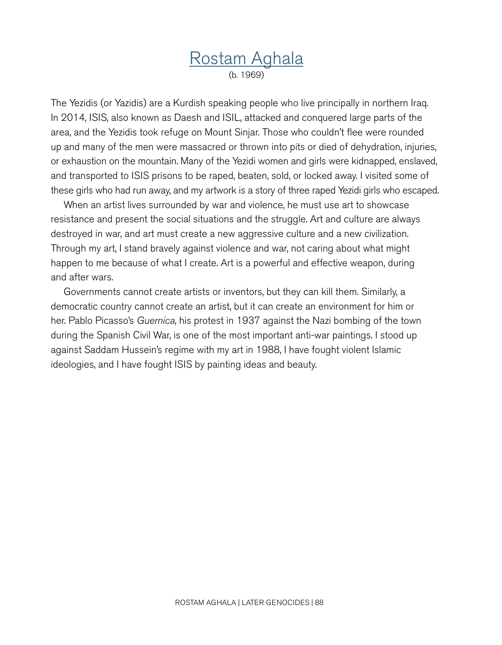## [Rostam Aghala](http://www.rostamaghala.com/new/index.php) (b. 1969)

The Yezidis (or Yazidis) are a Kurdish speaking people who live principally in northern Iraq. In 2014, ISIS, also known as Daesh and ISIL, attacked and conquered large parts of the area, and the Yezidis took refuge on Mount Sinjar. Those who couldn't flee were rounded up and many of the men were massacred or thrown into pits or died of dehydration, injuries, or exhaustion on the mountain. Many of the Yezidi women and girls were kidnapped, enslaved, and transported to ISIS prisons to be raped, beaten, sold, or locked away. I visited some of these girls who had run away, and my artwork is a story of three raped Yezidi girls who escaped.

When an artist lives surrounded by war and violence, he must use art to showcase resistance and present the social situations and the struggle. Art and culture are always destroyed in war, and art must create a new aggressive culture and a new civilization. Through my art, I stand bravely against violence and war, not caring about what might happen to me because of what I create. Art is a powerful and effective weapon, during and after wars.

Governments cannot create artists or inventors, but they can kill them. Similarly, a democratic country cannot create an artist, but it can create an environment for him or her. Pablo Picasso's *Guernica*, his protest in 1937 against the Nazi bombing of the town during the Spanish Civil War, is one of the most important anti-war paintings. I stood up against Saddam Hussein's regime with my art in 1988, I have fought violent Islamic ideologies, and I have fought ISIS by painting ideas and beauty.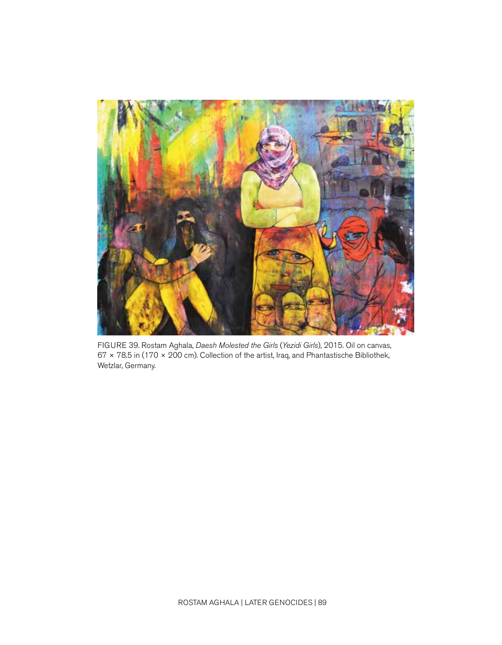<span id="page-9-0"></span>

FIGURE 39. Rostam Aghala, *Daesh Molested the Girls* (*Yezidi Girls*), 2015. Oil on canvas, 67 × 78.5 in (170 × 200 cm). Collection of the artist, Iraq, and Phantastische Bibliothek, Wetzlar, Germany.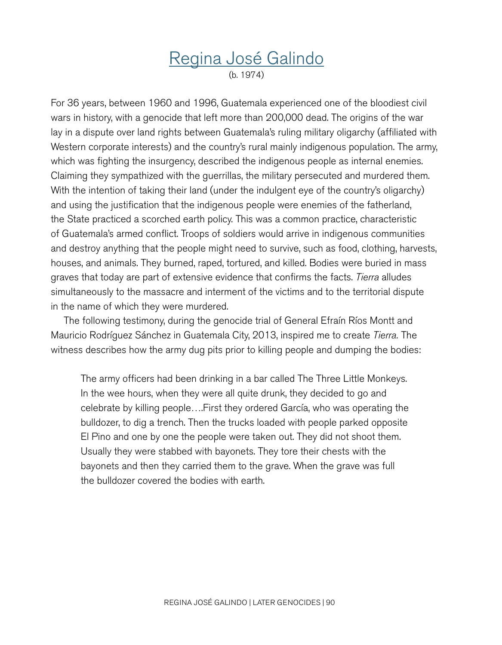# [Regina José Galindo](http://www.reginajosegalindo.com)

(b. 1974)

For 36 years, between 1960 and 1996, Guatemala experienced one of the bloodiest civil wars in history, with a genocide that left more than 200,000 dead. The origins of the war lay in a dispute over land rights between Guatemala's ruling military oligarchy (affiliated with Western corporate interests) and the country's rural mainly indigenous population. The army, which was fighting the insurgency, described the indigenous people as internal enemies. Claiming they sympathized with the guerrillas, the military persecuted and murdered them. With the intention of taking their land (under the indulgent eye of the country's oligarchy) and using the justification that the indigenous people were enemies of the fatherland, the State practiced a scorched earth policy. This was a common practice, characteristic of Guatemala's armed conflict. Troops of soldiers would arrive in indigenous communities and destroy anything that the people might need to survive, such as food, clothing, harvests, houses, and animals. They burned, raped, tortured, and killed. Bodies were buried in mass graves that today are part of extensive evidence that confirms the facts. *Tierra* alludes simultaneously to the massacre and interment of the victims and to the territorial dispute in the name of which they were murdered.

The following testimony, during the genocide trial of General Efraín Ríos Montt and Mauricio Rodríguez Sánchez in Guatemala City, 2013, inspired me to create *Tierra.* The witness describes how the army dug pits prior to killing people and dumping the bodies:

The army officers had been drinking in a bar called The Three Little Monkeys. In the wee hours, when they were all quite drunk, they decided to go and celebrate by killing people….First they ordered García, who was operating the bulldozer, to dig a trench. Then the trucks loaded with people parked opposite El Pino and one by one the people were taken out. They did not shoot them. Usually they were stabbed with bayonets. They tore their chests with the bayonets and then they carried them to the grave. When the grave was full the bulldozer covered the bodies with earth.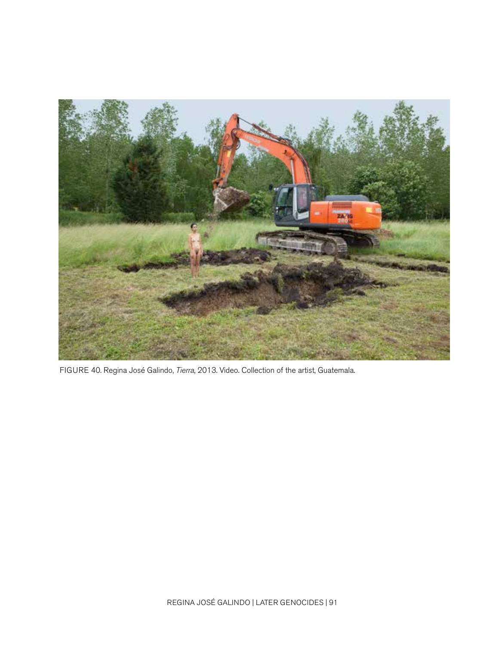<span id="page-11-0"></span>

FIGURE 40. Regina José Galindo, *Tierra*, 2013. Video. Collection of the artist, Guatemala.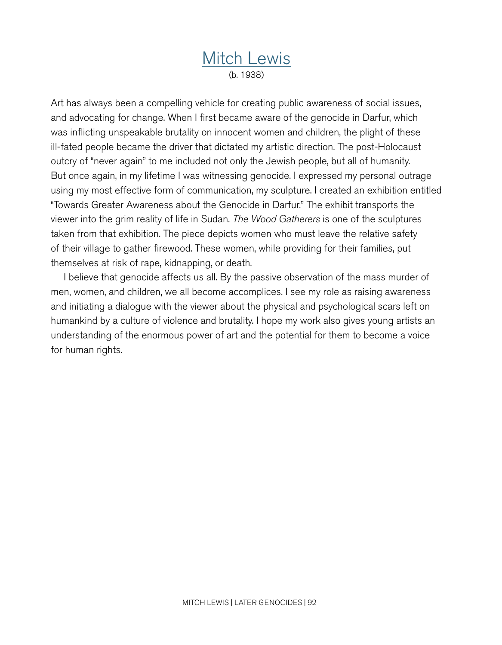## [Mitch Lewis](http://www.artstoendgenocide.org/media.html) (b. 1938)

Art has always been a compelling vehicle for creating public awareness of social issues, and advocating for change. When I first became aware of the genocide in Darfur, which was inflicting unspeakable brutality on innocent women and children, the plight of these ill-fated people became the driver that dictated my artistic direction. The post-Holocaust outcry of "never again" to me included not only the Jewish people, but all of humanity. But once again, in my lifetime I was witnessing genocide. I expressed my personal outrage using my most effective form of communication, my sculpture. I created an exhibition entitled "Towards Greater Awareness about the Genocide in Darfur." The exhibit transports the viewer into the grim reality of life in Sudan. *The Wood Gatherers* is one of the sculptures taken from that exhibition. The piece depicts women who must leave the relative safety of their village to gather firewood. These women, while providing for their families, put themselves at risk of rape, kidnapping, or death.

I believe that genocide affects us all. By the passive observation of the mass murder of men, women, and children, we all become accomplices. I see my role as raising awareness and initiating a dialogue with the viewer about the physical and psychological scars left on humankind by a culture of violence and brutality. I hope my work also gives young artists an understanding of the enormous power of art and the potential for them to become a voice for human rights.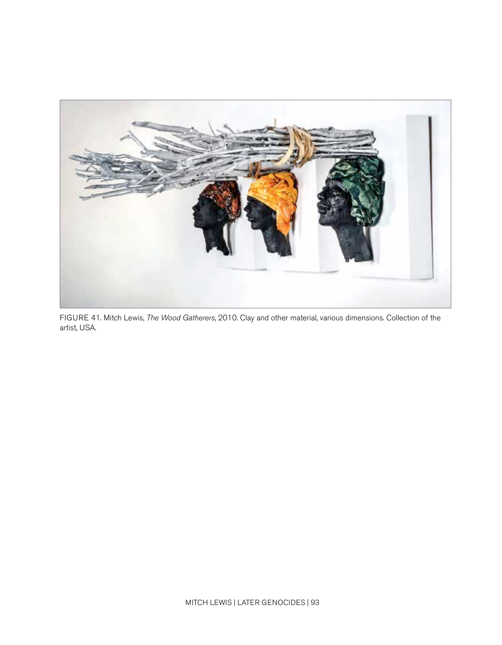<span id="page-13-0"></span>

FIGURE 41. Mitch Lewis, *The Wood Gatherers*, 2010. Clay and other material, various dimensions. Collection of the artist, USA.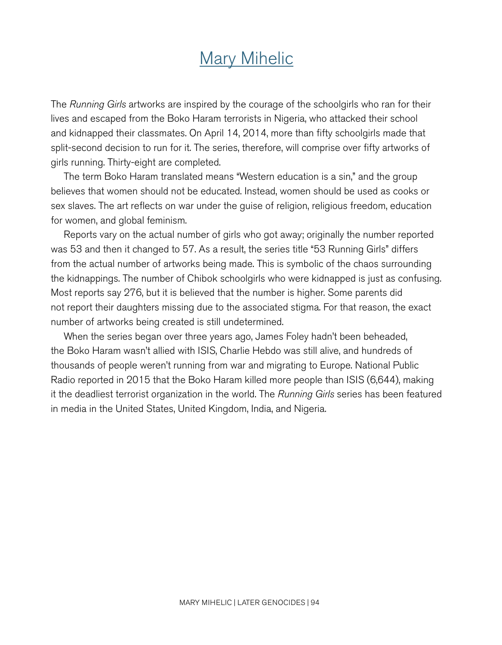# [Mary Mihelic](http://www.marymihelicartist.com/Mary_Mihelic_Home.html)

The *Running Girls* artworks are inspired by the courage of the schoolgirls who ran for their lives and escaped from the Boko Haram terrorists in Nigeria, who attacked their school and kidnapped their classmates. On April 14, 2014, more than fifty schoolgirls made that split-second decision to run for it. The series, therefore, will comprise over fifty artworks of girls running. Thirty-eight are completed.

The term Boko Haram translated means "Western education is a sin," and the group believes that women should not be educated. Instead, women should be used as cooks or sex slaves. The art reflects on war under the guise of religion, religious freedom, education for women, and global feminism.

Reports vary on the actual number of girls who got away; originally the number reported was 53 and then it changed to 57. As a result, the series title "53 Running Girls" differs from the actual number of artworks being made. This is symbolic of the chaos surrounding the kidnappings. The number of Chibok schoolgirls who were kidnapped is just as confusing. Most reports say 276, but it is believed that the number is higher. Some parents did not report their daughters missing due to the associated stigma. For that reason, the exact number of artworks being created is still undetermined.

When the series began over three years ago, James Foley hadn't been beheaded, the Boko Haram wasn't allied with ISIS, Charlie Hebdo was still alive, and hundreds of thousands of people weren't running from war and migrating to Europe. National Public Radio reported in 2015 that the Boko Haram killed more people than ISIS (6,644), making it the deadliest terrorist organization in the world. The *Running Girls* series has been featured in media in the United States, United Kingdom, India, and Nigeria.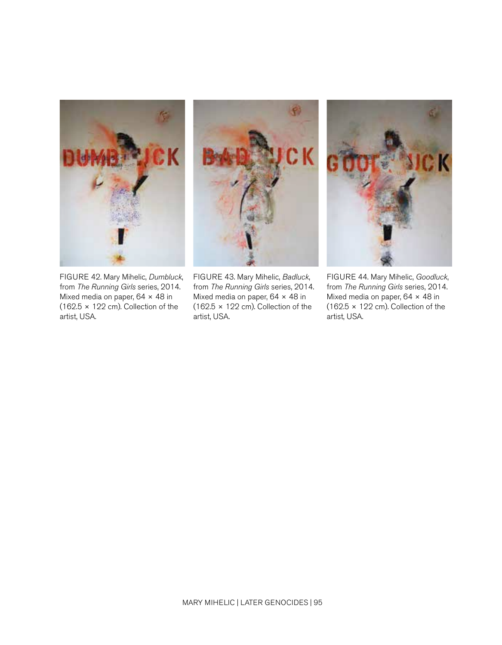



<span id="page-15-0"></span>

FIGURE 43. Mary Mihelic, *Badluck*, from *The Running Girls* series, 2014. Mixed media on paper, 64 × 48 in  $(162.5 \times 122 \text{ cm})$ . Collection of the artist, USA.



FIGURE 44. Mary Mihelic, *Goodluck*, from *The Running Girls* series, 2014. Mixed media on paper, 64 × 48 in  $(162.5 \times 122 \text{ cm})$ . Collection of the artist, USA.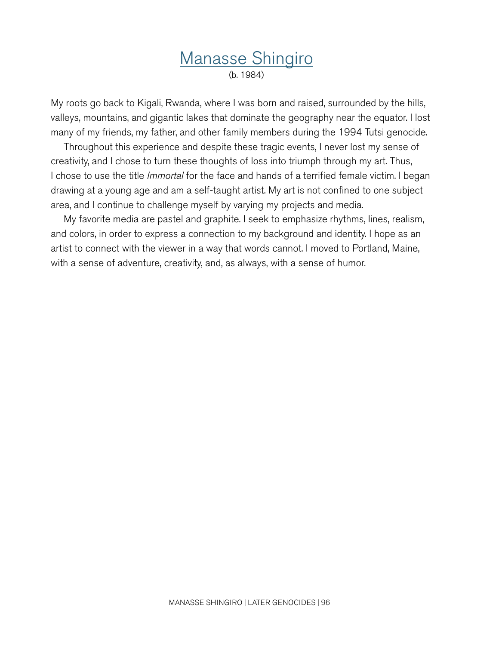## [Manasse Shingiro](http://www.manasseart.com) (b. 1984)

My roots go back to Kigali, Rwanda, where I was born and raised, surrounded by the hills, valleys, mountains, and gigantic lakes that dominate the geography near the equator. I lost many of my friends, my father, and other family members during the 1994 Tutsi genocide.

Throughout this experience and despite these tragic events, I never lost my sense of creativity, and I chose to turn these thoughts of loss into triumph through my art. Thus, I chose to use the title *Immortal* for the face and hands of a terrified female victim. I began drawing at a young age and am a self-taught artist. My art is not confined to one subject area, and I continue to challenge myself by varying my projects and media.

My favorite media are pastel and graphite. I seek to emphasize rhythms, lines, realism, and colors, in order to express a connection to my background and identity. I hope as an artist to connect with the viewer in a way that words cannot. I moved to Portland, Maine, with a sense of adventure, creativity, and, as always, with a sense of humor.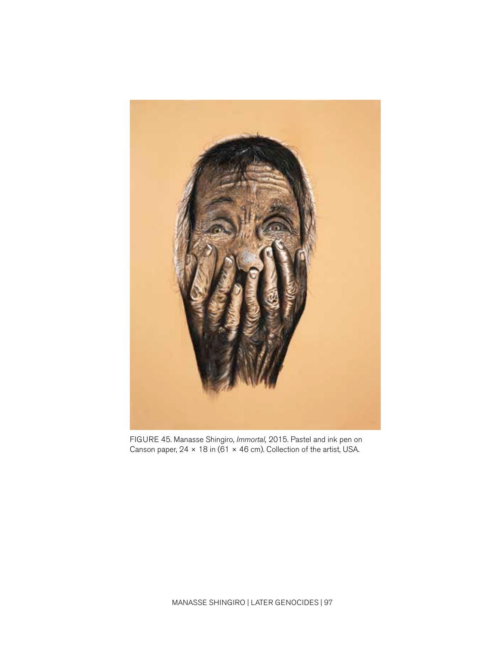<span id="page-17-0"></span>

FIGURE 45. Manasse Shingiro, *Immortal,* 2015. Pastel and ink pen on Canson paper,  $24 \times 18$  in (61  $\times$  46 cm). Collection of the artist, USA.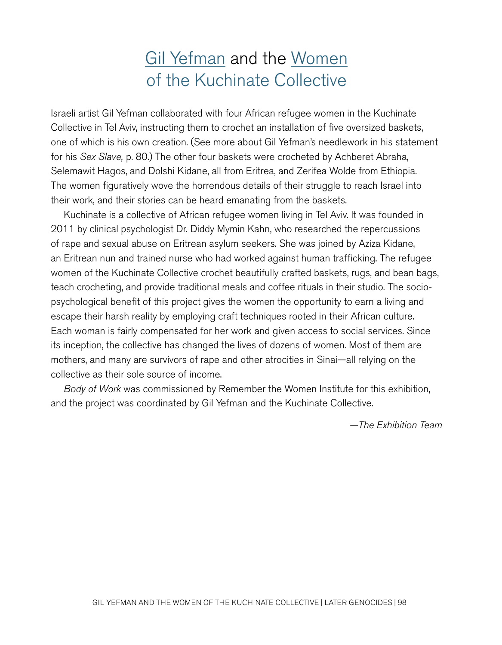# [Gil Yefman](http://www.gilyefman.com) and the [Women](https://www.kuchinate.com/our-story) [of the Kuchinate Collective](https://www.kuchinate.com/our-story)

Israeli artist Gil Yefman collaborated with four African refugee women in the Kuchinate Collective in Tel Aviv, instructing them to crochet an installation of five oversized baskets, one of which is his own creation. (See more about Gil Yefman's needlework in his statement for his *Sex Slave,* p. [80](#page-0-0).) The other four baskets were crocheted by Achberet Abraha, Selemawit Hagos, and Dolshi Kidane, all from Eritrea, and Zerifea Wolde from Ethiopia. The women figuratively wove the horrendous details of their struggle to reach Israel into their work, and their stories can be heard emanating from the baskets.

Kuchinate is a collective of African refugee women living in Tel Aviv. It was founded in 2011 by clinical psychologist Dr. Diddy Mymin Kahn, who researched the repercussions of rape and sexual abuse on Eritrean asylum seekers. She was joined by Aziza Kidane, an Eritrean nun and trained nurse who had worked against human trafficking. The refugee women of the Kuchinate Collective crochet beautifully crafted baskets, rugs, and bean bags, teach crocheting, and provide traditional meals and coffee rituals in their studio. The sociopsychological benefit of this project gives the women the opportunity to earn a living and escape their harsh reality by employing craft techniques rooted in their African culture. Each woman is fairly compensated for her work and given access to social services. Since its inception, the collective has changed the lives of dozens of women. Most of them are mothers, and many are survivors of rape and other atrocities in Sinai—all relying on the collective as their sole source of income.

*Body of Work* was commissioned by Remember the Women Institute for this exhibition, and the project was coordinated by Gil Yefman and the Kuchinate Collective.

*—The Exhibition Team*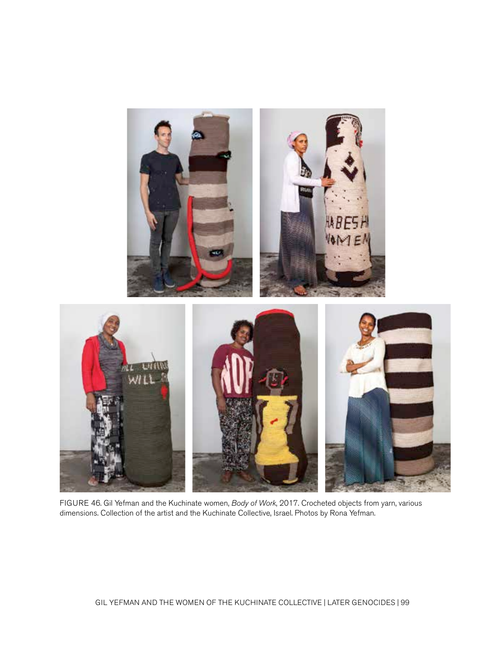<span id="page-19-0"></span>

FIGURE 46. Gil Yefman and the Kuchinate women, *Body of Work*, 2017. Crocheted objects from yarn, various dimensions. Collection of the artist and the Kuchinate Collective, Israel. Photos by Rona Yefman.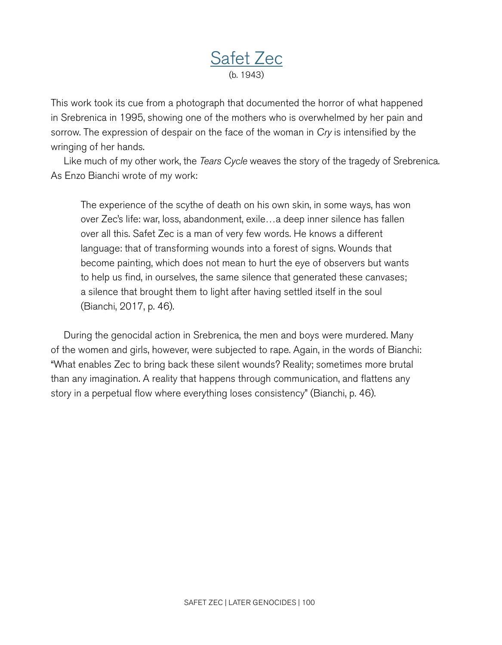## [Safet Zec](http://www.safetzec.com) (b. 1943)

This work took its cue from a photograph that documented the horror of what happened in Srebrenica in 1995, showing one of the mothers who is overwhelmed by her pain and sorrow. The expression of despair on the face of the woman in *Cry* is intensified by the wringing of her hands.

Like much of my other work, the *Tears Cycle* weaves the story of the tragedy of Srebrenica. As Enzo Bianchi wrote of my work:

The experience of the scythe of death on his own skin, in some ways, has won over Zec's life: war, loss, abandonment, exile…a deep inner silence has fallen over all this. Safet Zec is a man of very few words. He knows a different language: that of transforming wounds into a forest of signs. Wounds that become painting, which does not mean to hurt the eye of observers but wants to help us find, in ourselves, the same silence that generated these canvases; a silence that brought them to light after having settled itself in the soul (Bianchi, 2017, p. 46).

During the genocidal action in Srebrenica, the men and boys were murdered. Many of the women and girls, however, were subjected to rape. Again, in the words of Bianchi: "What enables Zec to bring back these silent wounds? Reality; sometimes more brutal than any imagination. A reality that happens through communication, and flattens any story in a perpetual flow where everything loses consistency" (Bianchi, p. 46).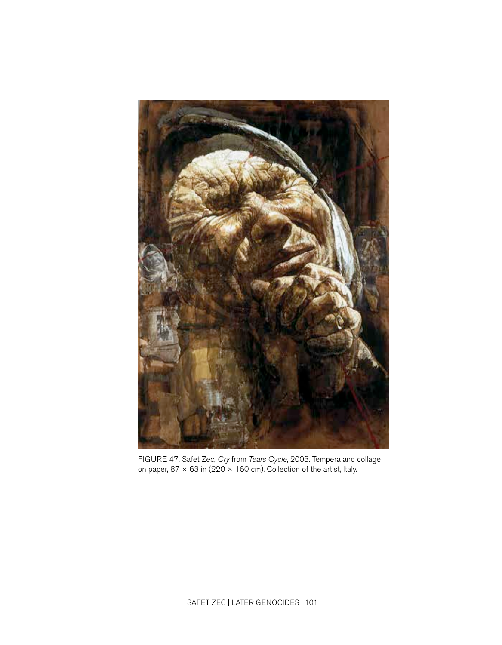<span id="page-21-0"></span>

FIGURE 47. Safet Zec, *Cry* from *Tears Cycle*, 2003. Tempera and collage on paper, 87  $\times$  63 in (220  $\times$  160 cm). Collection of the artist, Italy.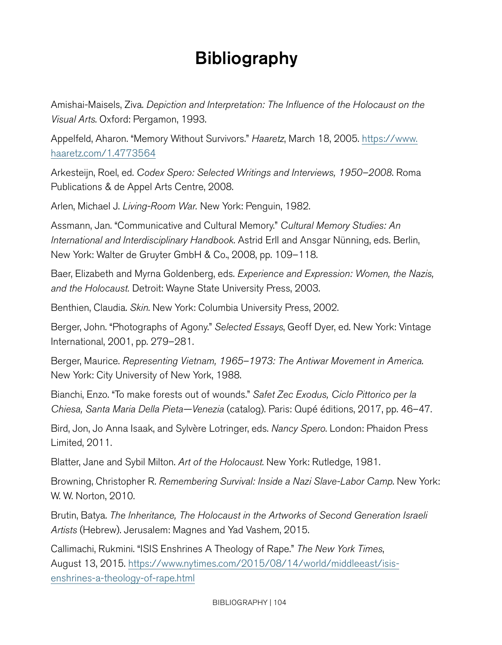# **Bibliography**

Amishai-Maisels, Ziva. *Depiction and Interpretation: The Influence of the Holocaust on the Visual Arts*. Oxford: Pergamon, 1993.

Appelfeld, Aharon. "Memory Without Survivors." *Haaretz*, March 18, 2005. [https://www.](https://www.haaretz.com/1.4773564) [haaretz.com/1.4773564](https://www.haaretz.com/1.4773564)

Arkesteijn, Roel, ed. *Codex Spero: Selected Writings and Interviews, 1950–2008*. Roma Publications & de Appel Arts Centre, 2008.

Arlen, Michael J. *Living-Room War.* New York: Penguin, 1982.

Assmann, Jan. "Communicative and Cultural Memory." *Cultural Memory Studies: An International and Interdisciplinary Handbook*. Astrid Erll and Ansgar Nünning, eds. Berlin, New York: Walter de Gruyter GmbH & Co., 2008, pp. 109–118.

Baer, Elizabeth and Myrna Goldenberg, eds. *Experience and Expression: Women, the Nazis, and the Holocaust.* Detroit: Wayne State University Press, 2003.

Benthien, Claudia. *Skin*. New York: Columbia University Press, 2002.

Berger, John. "Photographs of Agony." *Selected Essays*, Geoff Dyer, ed. New York: Vintage International, 2001, pp. 279–281.

Berger, Maurice. *Representing Vietnam, 1965–1973: The Antiwar Movement in America*. New York: City University of New York, 1988.

Bianchi, Enzo. "To make forests out of wounds." *Safet Zec Exodus, Ciclo Pittorico per la Chiesa, Santa Maria Della Pieta—Venezia* (catalog). Paris: Qupé éditions, 2017, pp. 46–47.

Bird, Jon, Jo Anna Isaak, and Sylvère Lotringer, eds. *Nancy Spero*. London: Phaidon Press Limited, 2011.

Blatter, Jane and Sybil Milton. *Art of the Holocaust*. New York: Rutledge, 1981.

Browning, Christopher R. *Remembering Survival: Inside a Nazi Slave-Labor Camp*. New York: W. W. Norton, 2010.

Brutin, Batya. *The Inheritance, The Holocaust in the Artworks of Second Generation Israeli Artists* (Hebrew). Jerusalem: Magnes and Yad Vashem, 2015.

Callimachi, Rukmini. "ISIS Enshrines A Theology of Rape." *The New York Times*, August 13, 2015. https://www.nytimes.com/2015/08/14/world/middleeast/isisenshrines-a-theology-of-rape.html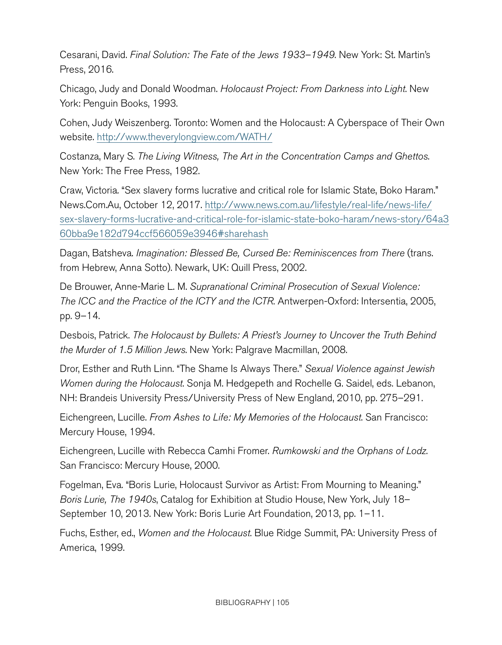Cesarani, David. *Final Solution: The Fate of the Jews 1933–1949*. New York: St. Martin's Press, 2016.

Chicago, Judy and Donald Woodman. *Holocaust Project: From Darkness into Light*. New York: Penguin Books, 1993.

Cohen, Judy Weiszenberg. Toronto: Women and the Holocaust: A Cyberspace of Their Own website. http://www.theverylongview.com/WATH/

Costanza, Mary S. *The Living Witness, The Art in the Concentration Camps and Ghettos*. New York: The Free Press, 1982.

Craw, Victoria. "Sex slavery forms lucrative and critical role for Islamic State, Boko Haram." News.Com.Au, October 12, 2017. [http://www.news.com.au/lifestyle/real-life/news-life/](https://www.news.com.au/lifestyle/real-life/news-life/sex-slavery-forms-lucrative-and-critical-role-for-islamic-state-boko-haram/news-story/64a360bba9e182d794ccf566059e3946#sharehash) [sex-slavery-forms-lucrative-and-critical-role-for-islamic-state-boko-haram/news-story/64a3](https://www.news.com.au/lifestyle/real-life/news-life/sex-slavery-forms-lucrative-and-critical-role-for-islamic-state-boko-haram/news-story/64a360bba9e182d794ccf566059e3946#sharehash) [60bba9e182d794ccf566059e3946#sharehash](https://www.news.com.au/lifestyle/real-life/news-life/sex-slavery-forms-lucrative-and-critical-role-for-islamic-state-boko-haram/news-story/64a360bba9e182d794ccf566059e3946#sharehash)

Dagan, Batsheva. *Imagination: Blessed Be, Cursed Be: Reminiscences from There* (trans. from Hebrew, Anna Sotto). Newark, UK: Quill Press, 2002.

De Brouwer, Anne-Marie L. M. *Supranational Criminal Prosecution of Sexual Violence: The ICC and the Practice of the ICTY and the ICTR*. Antwerpen-Oxford: Intersentia, 2005, pp. 9–14.

Desbois, Patrick. *The Holocaust by Bullets: A Priest's Journey to Uncover the Truth Behind the Murder of 1.5 Million Jews*. New York: Palgrave Macmillan, 2008.

Dror, Esther and Ruth Linn. "The Shame Is Always There." *Sexual Violence against Jewish Women during the Holocaust*. Sonja M. Hedgepeth and Rochelle G. Saidel, eds. Lebanon, NH: Brandeis University Press/University Press of New England, 2010, pp. 275–291.

Eichengreen, Lucille. *From Ashes to Life: My Memories of the Holocaust*. San Francisco: Mercury House, 1994.

Eichengreen, Lucille with Rebecca Camhi Fromer. *Rumkowski and the Orphans of Lodz*. San Francisco: Mercury House, 2000.

Fogelman, Eva. "Boris Lurie, Holocaust Survivor as Artist: From Mourning to Meaning." *Boris Lurie, The 1940s*, Catalog for Exhibition at Studio House, New York, July 18– September 10, 2013. New York: Boris Lurie Art Foundation, 2013, pp. 1–11.

Fuchs, Esther, ed., *Women and the Holocaust*. Blue Ridge Summit, PA: University Press of America, 1999.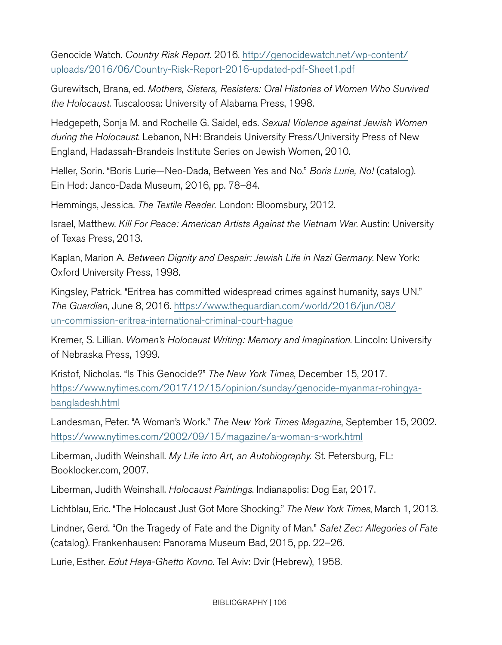Genocide Watch. *Country Risk Report.* 2016. [http://genocidewatch.net/wp-content/](http://genocidewatch.net/wp-content/uploads/2016/06/Country-Risk-Report-2016-updated-pdf-Sheet1.pdf) [uploads/2016/06/Country-Risk-Report-2016-updated-pdf-Sheet1.pdf](http://genocidewatch.net/wp-content/uploads/2016/06/Country-Risk-Report-2016-updated-pdf-Sheet1.pdf)

Gurewitsch, Brana, ed. *Mothers, Sisters, Resisters: Oral Histories of Women Who Survived the Holocaust*. Tuscaloosa: University of Alabama Press, 1998.

Hedgepeth, Sonja M. and Rochelle G. Saidel, eds. *Sexual Violence against Jewish Women during the Holocaust*. Lebanon, NH: Brandeis University Press/University Press of New England, Hadassah-Brandeis Institute Series on Jewish Women, 2010.

Heller, Sorin. "Boris Lurie—Neo-Dada, Between Yes and No." *Boris Lurie, No!* (catalog). Ein Hod: Janco-Dada Museum, 2016, pp. 78–84.

Hemmings, Jessica. *The Textile Reader.* London: Bloomsbury, 2012.

Israel, Matthew. *Kill For Peace: American Artists Against the Vietnam War*. Austin: University of Texas Press, 2013.

Kaplan, Marion A. *Between Dignity and Despair: Jewish Life in Nazi Germany*. New York: Oxford University Press, 1998.

Kingsley, Patrick. "Eritrea has committed widespread crimes against humanity, says UN." *The Guardian*, June 8, 2016. [https://www.theguardian.com/world/2016/jun/08/](https://www.theguardian.com/world/2016/jun/08/un-commission-eritrea-international-criminal-court-hague) [un-commission-eritrea-international-criminal-court-hague](https://www.theguardian.com/world/2016/jun/08/un-commission-eritrea-international-criminal-court-hague)

Kremer, S. Lillian. *Women's Holocaust Writing: Memory and Imagination*. Lincoln: University of Nebraska Press, 1999.

Kristof, Nicholas. "Is This Genocide?" *The New York Times*, December 15, 2017. https://www.nytimes.com/2017/12/15/opinion/sunday/genocide-myanmar-rohingyabangladesh.html

Landesman, Peter. "A Woman's Work." *The New York Times Magazine*, September 15, 2002. <https://www.nytimes.com/2002/09/15/magazine/a-woman-s-work.html>

Liberman, Judith Weinshall. *My Life into Art, an Autobiography.* St. Petersburg, FL: Booklocker.com, 2007.

Liberman, Judith Weinshall. *Holocaust Paintings*. Indianapolis: Dog Ear, 2017.

Lichtblau, Eric. "The Holocaust Just Got More Shocking." *The New York Times*, March 1, 2013.

Lindner, Gerd. "On the Tragedy of Fate and the Dignity of Man." *Safet Zec: Allegories of Fate* (catalog). Frankenhausen: Panorama Museum Bad, 2015, pp. 22–26.

Lurie, Esther. *Edut Haya-Ghetto Kovno*. Tel Aviv: Dvir (Hebrew), 1958.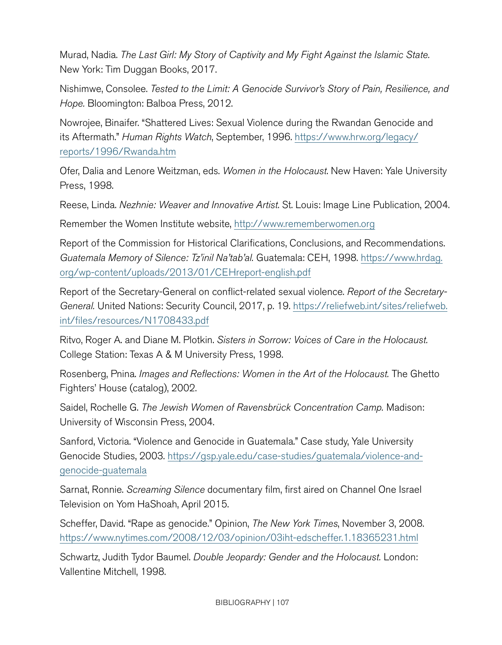Murad, Nadia. *The Last Girl: My Story of Captivity and My Fight Against the Islamic State.* New York: Tim Duggan Books, 2017.

Nishimwe, Consolee. *Tested to the Limit: A Genocide Survivor's Story of Pain, Resilience, and Hope.* Bloomington: Balboa Press, 2012.

Nowrojee, Binaifer. "Shattered Lives: Sexual Violence during the Rwandan Genocide and its Aftermath." *Human Rights Watch*, September, 1996. [https://www.hrw.org/legacy/](https://www.hrw.org/legacy/reports/1996/Rwanda.htm) [reports/1996/Rwanda.htm](https://www.hrw.org/legacy/reports/1996/Rwanda.htm)

Ofer, Dalia and Lenore Weitzman, eds. *Women in the Holocaust*. New Haven: Yale University Press, 1998.

Reese, Linda. *Nezhnie: Weaver and Innovative Artist*. St. Louis: Image Line Publication, 2004.

Remember the Women Institute website,<http://www.rememberwomen.org>

Report of the Commission for Historical Clarifications, Conclusions, and Recommendations. *Guatemala Memory of Silence: Tz'inil Na'tab'al.* Guatemala: CEH, 1998. [https://www.hrdag.](https://www.hrdag.org/wp-content/uploads/2013/01/CEHreport-english.pdf) [org/wp-content/uploads/2013/01/CEHreport-english.pdf](https://www.hrdag.org/wp-content/uploads/2013/01/CEHreport-english.pdf)

Report of the Secretary-General on conflict-related sexual violence. *Report of the Secretary*General. United Nations: Security Council, 2017, p. 19. [https://reliefweb.int/sites/reliefweb.](https://reliefweb.int/sites/reliefweb.int/files/resources/N1708433.pdf) [int/files/resources/N1708433.pdf](https://reliefweb.int/sites/reliefweb.int/files/resources/N1708433.pdf)

Ritvo, Roger A. and Diane M. Plotkin. *Sisters in Sorrow: Voices of Care in the Holocaust.* College Station: Texas A & M University Press, 1998.

Rosenberg, Pnina. *Images and Reflections: Women in the Art of the Holocaust.* The Ghetto Fighters' House (catalog), 2002.

Saidel, Rochelle G. *The Jewish Women of Ravensbrück Concentration Camp.* Madison: University of Wisconsin Press, 2004.

Sanford, Victoria. "Violence and Genocide in Guatemala." Case study, Yale University Genocide Studies, 2003. [https://gsp.yale.edu/case-studies/guatemala/violence-and](https://gsp.yale.edu/case-studies/guatemala/violence-and-genocide-guatemala)[genocide-guatemala](https://gsp.yale.edu/case-studies/guatemala/violence-and-genocide-guatemala)

Sarnat, Ronnie. *Screaming Silence* documentary film, first aired on Channel One Israel Television on Yom HaShoah, April 2015.

Scheffer, David. "Rape as genocide." Opinion, *The New York Times*, November 3, 2008. <https://www.nytimes.com/2008/12/03/opinion/03iht-edscheffer.1.18365231.html>

Schwartz, Judith Tydor Baumel. *Double Jeopardy: Gender and the Holocaust.* London: Vallentine Mitchell, 1998.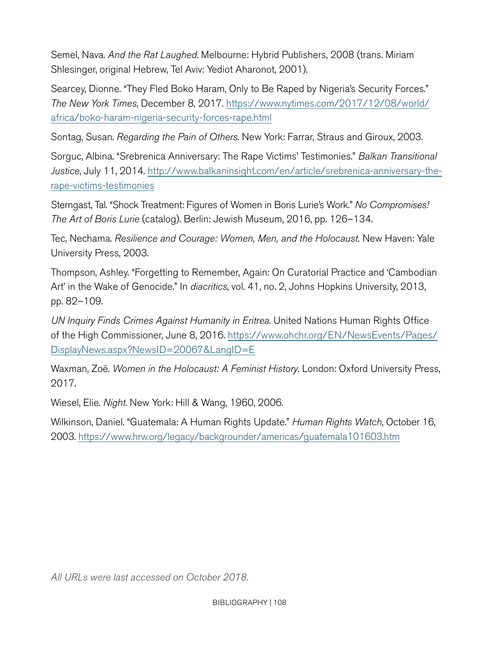Semel, Nava. *And the Rat Laughed*. Melbourne: Hybrid Publishers, 2008 (trans. Miriam Shlesinger, original Hebrew, Tel Aviv: Yediot Aharonot, 2001).

Searcey, Dionne. "They Fled Boko Haram, Only to Be Raped by Nigeria's Security Forces." *The New York Times*, December 8, 2017. [https://www.nytimes.com/2017/12/08/world/](https://www.nytimes.com/2017/12/08/world/africa/boko-haram-nigeria-security-forces-rape.html) [africa/boko-haram-nigeria-security-forces-rape.html](https://www.nytimes.com/2017/12/08/world/africa/boko-haram-nigeria-security-forces-rape.html)

Sontag, Susan. *Regarding the Pain of Others*. New York: Farrar, Straus and Giroux, 2003.

Sorguc, Albina. "Srebrenica Anniversary: The Rape Victims' Testimonies." *Balkan Transitional Justice*, July 11, 2014. [http://www.balkaninsight.com/en/article/srebrenica-anniversary-the](http://www.balkaninsight.com/en/article/srebrenica-anniversary-the-rape-victims-testimonies)[rape-victims-testimonies](http://www.balkaninsight.com/en/article/srebrenica-anniversary-the-rape-victims-testimonies)

Sterngast, Tal. "Shock Treatment: Figures of Women in Boris Lurie's Work." *No Compromises! The Art of Boris Lurie* (catalog). Berlin: Jewish Museum, 2016, pp. 126–134.

Tec, Nechama. *Resilience and Courage: Women, Men, and the Holocaust.* New Haven: Yale University Press, 2003.

Thompson, Ashley. "Forgetting to Remember, Again: On Curatorial Practice and 'Cambodian Art' in the Wake of Genocide." In *diacritics*, vol. 41, no. 2, Johns Hopkins University, 2013, pp. 82–109.

*UN Inquiry Finds Crimes Against Humanity in Eritrea*. United Nations Human Rights Office of the High Commissioner, June 8, 2016. [https://www.ohchr.org/EN/NewsEvents/Pages/](https://www.ohchr.org/EN/NewsEvents/Pages/DisplayNews.aspx?NewsID=20067&LangID=E) [DisplayNews.aspx?NewsID=20067&LangID=E](https://www.ohchr.org/EN/NewsEvents/Pages/DisplayNews.aspx?NewsID=20067&LangID=E)

Waxman, Zoë. *Women in the Holocaust: A Feminist History*. London: Oxford University Press, 2017.

Wiesel, Elie. *Night*. New York: Hill & Wang, 1960, 2006.

Wilkinson, Daniel. "Guatemala: A Human Rights Update." *Human Rights Watch*, October 16, 2003. <https://www.hrw.org/legacy/backgrounder/americas/guatemala101603.htm>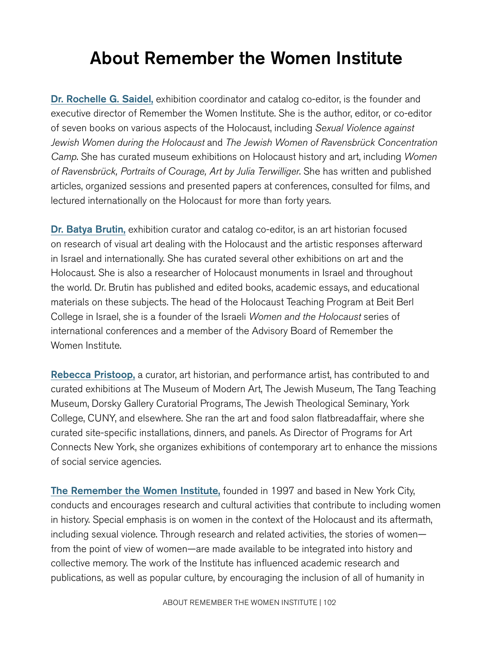# About Remember the Women Institute

[Dr. Rochelle G. Saidel,](http://www.rememberwomen.org/director.html) exhibition coordinator and catalog co-editor, is the founder and executive director of Remember the Women Institute. She is the author, editor, or co-editor of seven books on various aspects of the Holocaust, including *Sexual Violence against Jewish Women during the Holocaust* and *The Jewish Women of Ravensbrück Concentration Camp*. She has curated museum exhibitions on Holocaust history and art, including *Women of Ravensbrück, Portraits of Courage, Art by Julia Terwilliger*. She has written and published articles, organized sessions and presented papers at conferences, consulted for films, and lectured internationally on the Holocaust for more than forty years.

[Dr. Batya Brutin,](https://jwa.org/encyclopedia/author/brutin-batya) exhibition curator and catalog co-editor, is an art historian focused on research of visual art dealing with the Holocaust and the artistic responses afterward in Israel and internationally. She has curated several other exhibitions on art and the Holocaust. She is also a researcher of Holocaust monuments in Israel and throughout the world. Dr. Brutin has published and edited books, academic essays, and educational materials on these subjects. The head of the Holocaust Teaching Program at Beit Berl College in Israel, she is a founder of the Israeli *Women and the Holocaust* series of international conferences and a member of the Advisory Board of Remember the Women Institute.

[Rebecca Pristoop,](https://www.pristoopcuratorial.com/about.html) a curator, art historian, and performance artist, has contributed to and curated exhibitions at The Museum of Modern Art, The Jewish Museum, The Tang Teaching Museum, Dorsky Gallery Curatorial Programs, The Jewish Theological Seminary, York College, CUNY, and elsewhere. She ran the art and food salon flatbreadaffair, where she curated site-specific installations, dinners, and panels. As Director of Programs for Art Connects New York, she organizes exhibitions of contemporary art to enhance the missions of social service agencies.

[The Remember the Women Institute,](http://www.rememberwomen.org/about.html) founded in 1997 and based in New York City, conducts and encourages research and cultural activities that contribute to including women in history. Special emphasis is on women in the context of the Holocaust and its aftermath, including sexual violence. Through research and related activities, the stories of women from the point of view of women—are made available to be integrated into history and collective memory. The work of the Institute has influenced academic research and publications, as well as popular culture, by encouraging the inclusion of all of humanity in